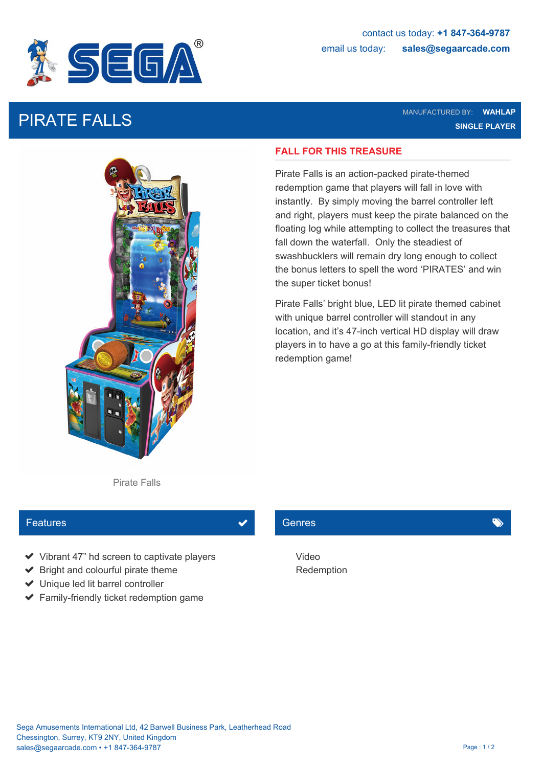

PIRATE FALLS MANUFACTURED BY: **WAHLAP SINGLE PLAYER**



### **FALL FOR THIS TREASURE**

Pirate Falls is an action-packed pirate-themed redemption game that players will fall in love with instantly. By simply moving the barrel controller left and right, players must keep the pirate balanced on the floating log while attempting to collect the treasures that fall down the waterfall. Only the steadiest of swashbucklers will remain dry long enough to collect the bonus letters to spell the word 'PIRATES' and win the super ticket bonus!

Pirate Falls' bright blue, LED lit pirate themed cabinet with unique barrel controller will standout in any location, and it's 47-inch vertical HD display will draw players in to have a go at this family-friendly ticket redemption game!

Pirate Falls

# **Features**

- ◆ Vibrant 47" hd screen to captivate players Video
- $\blacktriangleright$  Bright and colourful pirate theme
- ◆ Unique led lit barrel controller
- $\blacktriangleright$  Family-friendly ticket redemption game

## Genres **General Community**

Video Redemption